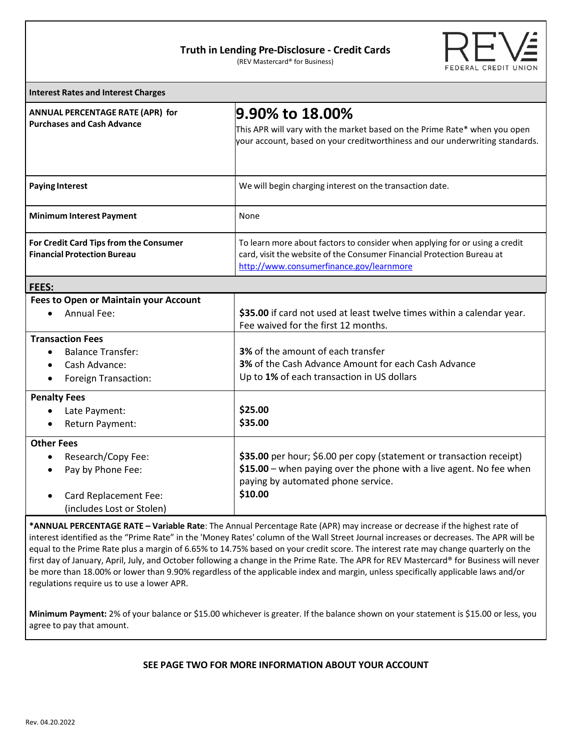## **Truth in Lending Pre-Disclosure - Credit Cards**

(REV Mastercard® for Business)



| <b>Interest Rates and Interest Charges</b>                                                                                      |                                                                                                                                                                                                   |
|---------------------------------------------------------------------------------------------------------------------------------|---------------------------------------------------------------------------------------------------------------------------------------------------------------------------------------------------|
| ANNUAL PERCENTAGE RATE (APR) for<br><b>Purchases and Cash Advance</b>                                                           | l9.90% to 18.00%<br>This APR will vary with the market based on the Prime Rate* when you open<br>your account, based on your creditworthiness and our underwriting standards.                     |
| <b>Paying Interest</b>                                                                                                          | We will begin charging interest on the transaction date.                                                                                                                                          |
| <b>Minimum Interest Payment</b>                                                                                                 | None                                                                                                                                                                                              |
| For Credit Card Tips from the Consumer<br><b>Financial Protection Bureau</b>                                                    | To learn more about factors to consider when applying for or using a credit<br>card, visit the website of the Consumer Financial Protection Bureau at<br>http://www.consumerfinance.gov/learnmore |
| FEES:                                                                                                                           |                                                                                                                                                                                                   |
| Fees to Open or Maintain your Account<br>Annual Fee:                                                                            | \$35.00 if card not used at least twelve times within a calendar year.<br>Fee waived for the first 12 months.                                                                                     |
| <b>Transaction Fees</b><br><b>Balance Transfer:</b><br>Cash Advance:<br>Foreign Transaction:<br>$\bullet$                       | 3% of the amount of each transfer<br>3% of the Cash Advance Amount for each Cash Advance<br>Up to 1% of each transaction in US dollars                                                            |
| <b>Penalty Fees</b><br>Late Payment:<br>Return Payment:<br>$\bullet$                                                            | \$25.00<br>\$35.00                                                                                                                                                                                |
| <b>Other Fees</b><br>Research/Copy Fee:<br>Pay by Phone Fee:<br>$\bullet$<br>Card Replacement Fee:<br>(includes Lost or Stolen) | \$35.00 per hour; \$6.00 per copy (statement or transaction receipt)<br>\$15.00 - when paying over the phone with a live agent. No fee when<br>paying by automated phone service.<br>\$10.00      |

**\*ANNUAL PERCENTAGE RATE – Variable Rate**: The Annual Percentage Rate (APR) may increase or decrease if the highest rate of interest identified as the "Prime Rate" in the 'Money Rates' column of the Wall Street Journal increases or decreases. The APR will be equal to the Prime Rate plus a margin of 6.65% to 14.75% based on your credit score. The interest rate may change quarterly on the first day of January, April, July, and October following a change in the Prime Rate. The APR for REV Mastercard® for Business will never be more than 18.00% or lower than 9.90% regardless of the applicable index and margin, unless specifically applicable laws and/or regulations require us to use a lower APR.

**Minimum Payment:** 2% of your balance or \$15.00 whichever is greater. If the balance shown on your statement is \$15.00 or less, you agree to pay that amount.

## **SEE PAGE TWO FOR MORE INFORMATION ABOUT YOUR ACCOUNT**